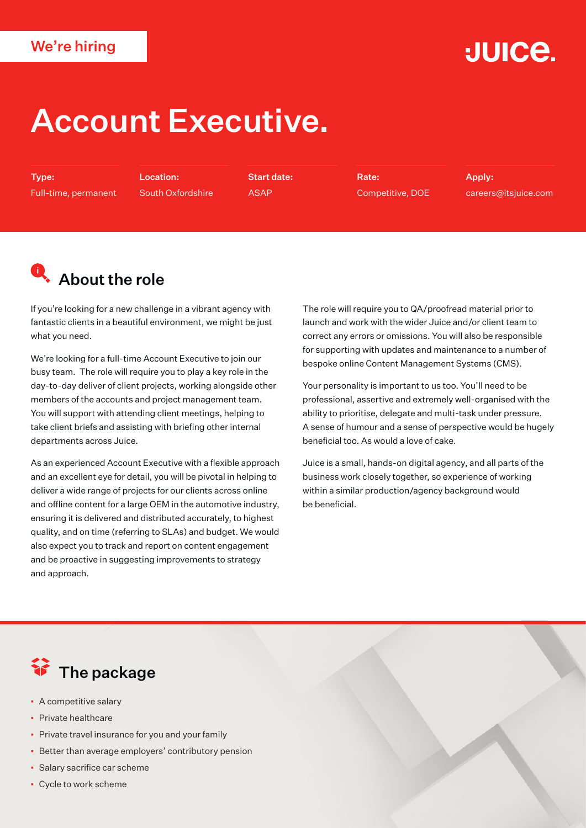#### We're hiring

## **JUICE.**

# Account Executive.

Type: Full-time, permanent

Location: South Oxfordshire Start date: ASAP

Rate: Competitive, DOE Apply: careers@itsjuice.com

## **Q**. About the role

If you're looking for a new challenge in a vibrant agency with fantastic clients in a beautiful environment, we might be just what you need.

We're looking for a full-time Account Executive to join our busy team. The role will require you to play a key role in the day-to-day deliver of client projects, working alongside other members of the accounts and project management team. You will support with attending client meetings, helping to take client briefs and assisting with briefing other internal departments across Juice.

As an experienced Account Executive with a flexible approach and an excellent eye for detail, you will be pivotal in helping to deliver a wide range of projects for our clients across online and offline content for a large OEM in the automotive industry, ensuring it is delivered and distributed accurately, to highest quality, and on time (referring to SLAs) and budget. We would also expect you to track and report on content engagement and be proactive in suggesting improvements to strategy and approach.

The role will require you to QA/proofread material prior to launch and work with the wider Juice and/or client team to correct any errors or omissions. You will also be responsible for supporting with updates and maintenance to a number of bespoke online Content Management Systems (CMS).

Your personality is important to us too. You'll need to be professional, assertive and extremely well-organised with the ability to prioritise, delegate and multi-task under pressure. A sense of humour and a sense of perspective would be hugely beneficial too. As would a love of cake.

Juice is a small, hands-on digital agency, and all parts of the business work closely together, so experience of working within a similar production/agency background would be beneficial.

## **行** The package

- A competitive salary
- Private healthcare
- **Private travel insurance for you and your family**
- Better than average employers' contributory pension
- Salary sacrifice car scheme
- Cycle to work scheme